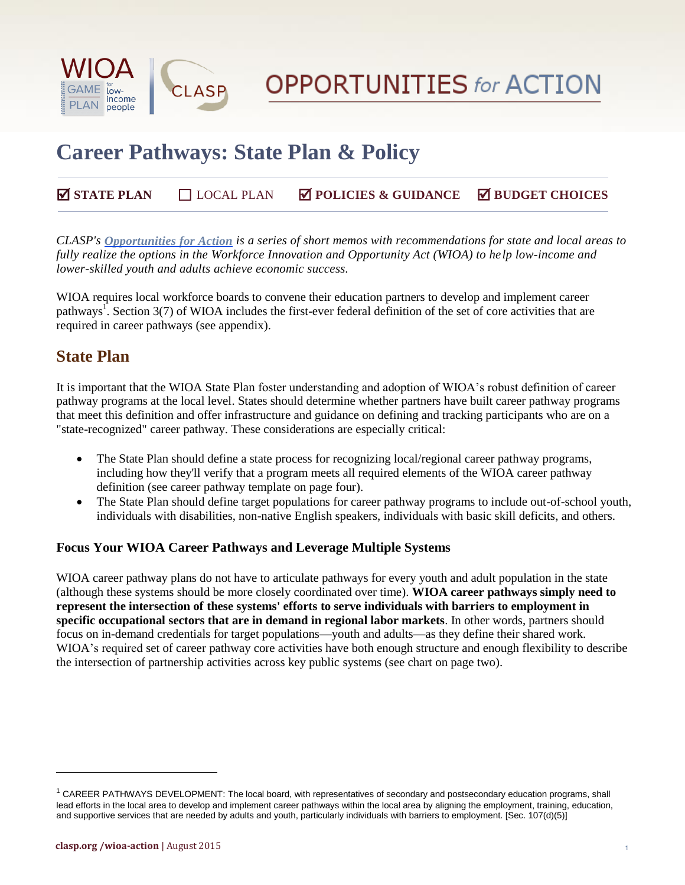



# **Career Pathways: State Plan & Policy**

#### **STATE PLAN** ☐ LOCAL PLAN **POLICIES & GUIDANCE BUDGET CHOICES**

*CLASP's [Opportunities for Action](http://www.clasp.org/issues/postsecondary/wioa-action) is a series of short memos with recommendations for state and local areas to fully realize the options in the Workforce Innovation and Opportunity Act (WIOA) to help low-income and lower-skilled youth and adults achieve economic success.*

WIOA requires local workforce boards to convene their education partners to develop and implement career pathways<sup>1</sup>. Section 3(7) of WIOA includes the first-ever federal definition of the set of core activities that are required in career pathways (see appendix).

#### **State Plan**

It is important that the WIOA State Plan foster understanding and adoption of WIOA's robust definition of career pathway programs at the local level. States should determine whether partners have built career pathway programs that meet this definition and offer infrastructure and guidance on defining and tracking participants who are on a "state-recognized" career pathway. These considerations are especially critical:

- The State Plan should define a state process for recognizing local/regional career pathway programs, including how they'll verify that a program meets all required elements of the WIOA career pathway definition (see career pathway template on page four).
- The State Plan should define target populations for career pathway programs to include out-of-school youth, individuals with disabilities, non-native English speakers, individuals with basic skill deficits, and others.

#### **Focus Your WIOA Career Pathways and Leverage Multiple Systems**

WIOA career pathway plans do not have to articulate pathways for every youth and adult population in the state (although these systems should be more closely coordinated over time). **WIOA career pathways simply need to represent the intersection of these systems' efforts to serve individuals with barriers to employment in specific occupational sectors that are in demand in regional labor markets**. In other words, partners should focus on in-demand credentials for target populations—youth and adults—as they define their shared work. WIOA's required set of career pathway core activities have both enough structure and enough flexibility to describe the intersection of partnership activities across key public systems (see chart on page two).

l

 $1$  CAREER PATHWAYS DEVELOPMENT: The local board, with representatives of secondary and postsecondary education programs, shall lead efforts in the local area to develop and implement career pathways within the local area by aligning the employment, training, education, and supportive services that are needed by adults and youth, particularly individuals with barriers to employment. [Sec. 107(d)(5)]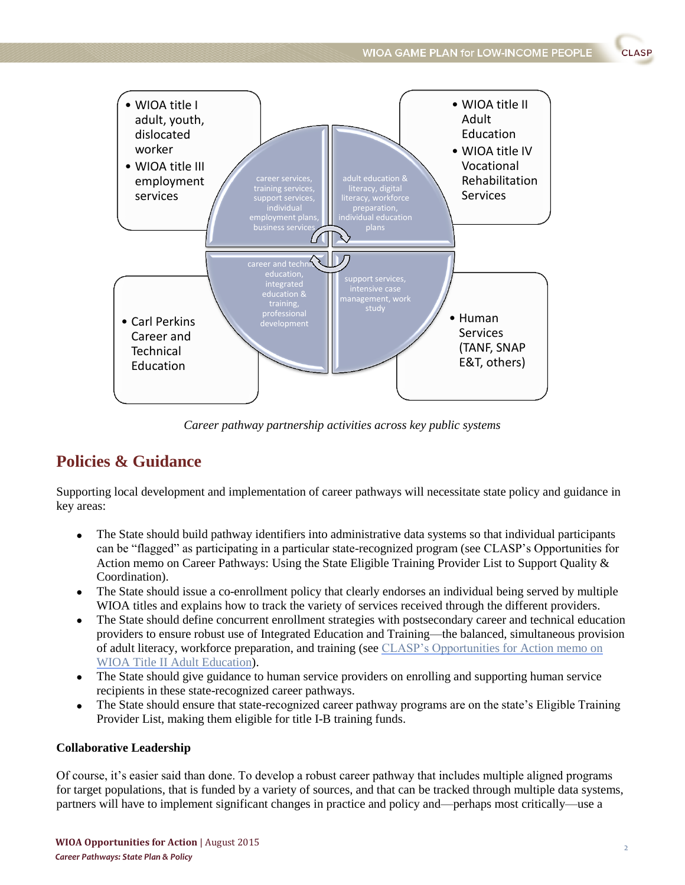

*Career pathway partnership activities across key public systems*

#### **Policies & Guidance**

Supporting local development and implementation of career pathways will necessitate state policy and guidance in key areas:

- The State should build pathway identifiers into administrative data systems so that individual participants can be "flagged" as participating in a particular state-recognized program (see CLASP's Opportunities for Action memo on Career Pathways: Using the State Eligible Training Provider List to Support Quality & Coordination).
- The State should issue a co-enrollment policy that clearly endorses an individual being served by multiple WIOA titles and explains how to track the variety of services received through the different providers.
- The State should define concurrent enrollment strategies with postsecondary career and technical education providers to ensure robust use of Integrated Education and Training—the balanced, simultaneous provision of adult literacy, workforce preparation, and training (see [CLASP's Opportunities](http://www.clasp.org/resources-and-publications/publication-1/WIOA-Title-II-memo.pdf) for Action memo on [WIOA Title II Adult Education\)](http://www.clasp.org/resources-and-publications/publication-1/WIOA-Title-II-memo.pdf).
- The State should give guidance to human service providers on enrolling and supporting human service recipients in these state-recognized career pathways.
- The State should ensure that state-recognized career pathway programs are on the state's Eligible Training Provider List, making them eligible for title I-B training funds.

#### **Collaborative Leadership**

Of course, it's easier said than done. To develop a robust career pathway that includes multiple aligned programs for target populations, that is funded by a variety of sources, and that can be tracked through multiple data systems, partners will have to implement significant changes in practice and policy and—perhaps most critically—use a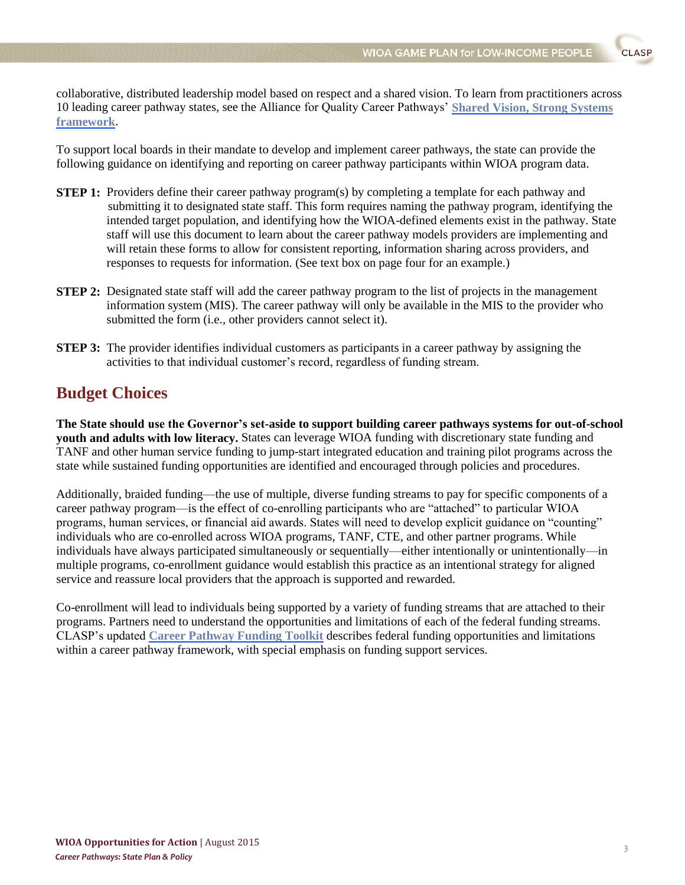collaborative, distributed leadership model based on respect and a shared vision. To learn from practitioners across 10 leading career pathway states, see the Alliance for Quality Career Pathways' **[Shared Vision, Strong Systems](http://www.clasp.org/issues/postsecondary/pages/aqcp-framework-version-1-0)  [framework](http://www.clasp.org/issues/postsecondary/pages/aqcp-framework-version-1-0)**.

To support local boards in their mandate to develop and implement career pathways, the state can provide the following guidance on identifying and reporting on career pathway participants within WIOA program data.

- **STEP 1:** Providers define their career pathway program(s) by completing a template for each pathway and submitting it to designated state staff. This form requires naming the pathway program, identifying the intended target population, and identifying how the WIOA-defined elements exist in the pathway. State staff will use this document to learn about the career pathway models providers are implementing and will retain these forms to allow for consistent reporting, information sharing across providers, and responses to requests for information. (See text box on page four for an example.)
- **STEP 2:** Designated state staff will add the career pathway program to the list of projects in the management information system (MIS). The career pathway will only be available in the MIS to the provider who submitted the form (i.e., other providers cannot select it).
- **STEP 3:** The provider identifies individual customers as participants in a career pathway by assigning the activities to that individual customer's record, regardless of funding stream.

#### **Budget Choices**

**The State should use the Governor's set-aside to support building career pathways systems for out-of-school youth and adults with low literacy.** States can leverage WIOA funding with discretionary state funding and TANF and other human service funding to jump-start integrated education and training pilot programs across the state while sustained funding opportunities are identified and encouraged through policies and procedures.

Additionally, braided funding—the use of multiple, diverse funding streams to pay for specific components of a career pathway program—is the effect of co-enrolling participants who are "attached" to particular WIOA programs, human services, or financial aid awards. States will need to develop explicit guidance on "counting" individuals who are co-enrolled across WIOA programs, TANF, CTE, and other partner programs. While individuals have always participated simultaneously or sequentially—either intentionally or unintentionally—in multiple programs, co-enrollment guidance would establish this practice as an intentional strategy for aligned service and reassure local providers that the approach is supported and rewarded.

Co-enrollment will lead to individuals being supported by a variety of funding streams that are attached to their programs. Partners need to understand the opportunities and limitations of each of the federal funding streams. CLASP's updated **[Career Pathway Funding Toolkit](http://www.clasp.org/issues/postsecondary/pages/funding-career-pathways-and-career-pathway-bridges-a-federal-funding-toolkit-for-states)** describes federal funding opportunities and limitations within a career pathway framework, with special emphasis on funding support services.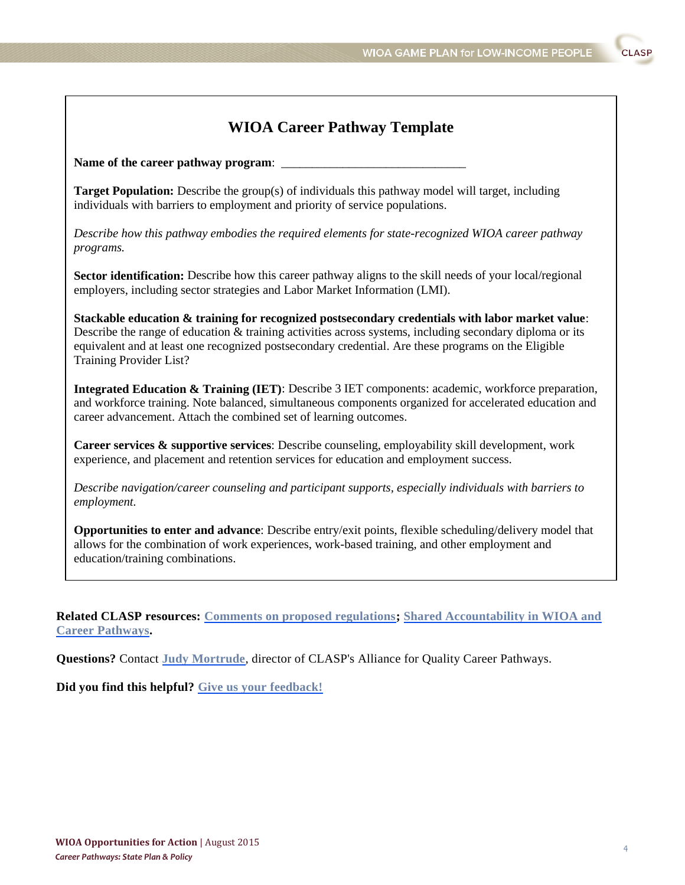## **WIOA Career Pathway Template**

Name of the career pathway program:

**Target Population:** Describe the group(s) of individuals this pathway model will target, including individuals with barriers to employment and priority of service populations.

*Describe how this pathway embodies the required elements for state-recognized WIOA career pathway programs.*

**Sector identification:** Describe how this career pathway aligns to the skill needs of your local/regional employers, including sector strategies and Labor Market Information (LMI).

**Stackable education & training for recognized postsecondary credentials with labor market value**: Describe the range of education & training activities across systems, including secondary diploma or its equivalent and at least one recognized postsecondary credential. Are these programs on the Eligible Training Provider List?

**Integrated Education & Training (IET)**: Describe 3 IET components: academic, workforce preparation, and workforce training. Note balanced, simultaneous components organized for accelerated education and career advancement. Attach the combined set of learning outcomes.

**Career services & supportive services**: Describe counseling, employability skill development, work experience, and placement and retention services for education and employment success.

*Describe navigation/career counseling and participant supports, especially individuals with barriers to employment.*

**Opportunities to enter and advance**: Describe entry/exit points, flexible scheduling/delivery model that allows for the combination of work experiences, work-based training, and other employment and education/training combinations.

**Related CLASP resources: [Comments on proposed regulations;](http://www.clasp.org/issues/postsecondary/in-focus/clasp-submits-comments-on-wioa-notices-of-proposed-rulemaking-nprms) [Shared Accountability in WIOA and](http://www.clasp.org/resources-and-publications/publication-1/WIOA_sharedaccountability.pdf)  [Career Pathways.](http://www.clasp.org/resources-and-publications/publication-1/WIOA_sharedaccountability.pdf)**

**Questions?** Contact **[Judy Mortrude](mailto:jmortrude@clasp.org)**, director of CLASP's Alliance for Quality Career Pathways.

**Did you find this helpful? [Give us your feedback!](https://www.surveymonkey.com/r/TRQW2Z6)**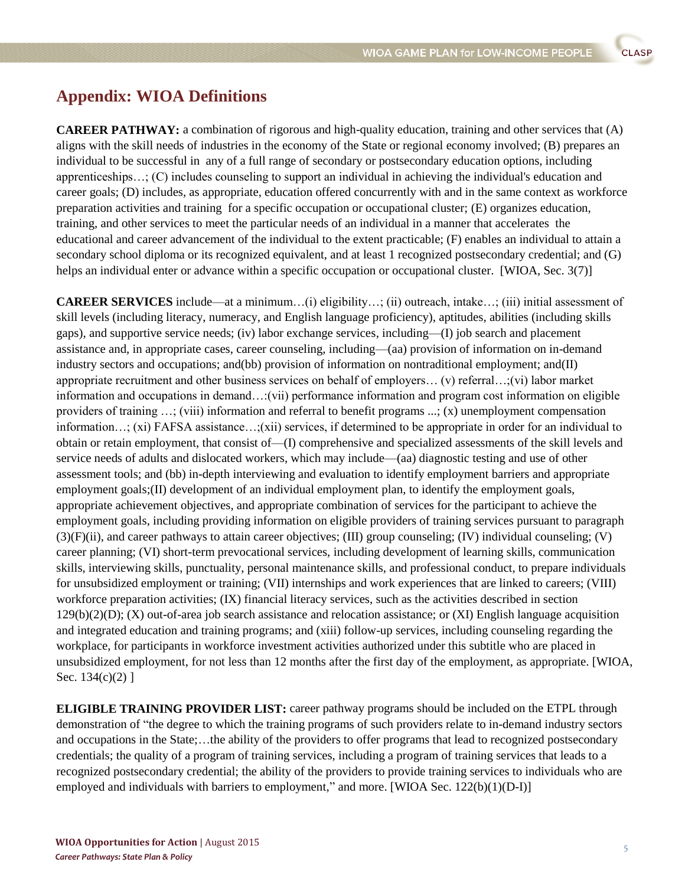### **Appendix: WIOA Definitions**

**CAREER PATHWAY:** a combination of rigorous and high-quality education, training and other services that (A) aligns with the skill needs of industries in the economy of the State or regional economy involved; (B) prepares an individual to be successful in any of a full range of secondary or postsecondary education options, including apprenticeships…; (C) includes counseling to support an individual in achieving the individual's education and career goals; (D) includes, as appropriate, education offered concurrently with and in the same context as workforce preparation activities and training for a specific occupation or occupational cluster; (E) organizes education, training, and other services to meet the particular needs of an individual in a manner that accelerates the educational and career advancement of the individual to the extent practicable; (F) enables an individual to attain a secondary school diploma or its recognized equivalent, and at least 1 recognized postsecondary credential; and (G) helps an individual enter or advance within a specific occupation or occupational cluster. [WIOA, Sec. 3(7)]

**CAREER SERVICES** include—at a minimum…(i) eligibility…; (ii) outreach, intake…; (iii) initial assessment of skill levels (including literacy, numeracy, and English language proficiency), aptitudes, abilities (including skills gaps), and supportive service needs; (iv) labor exchange services, including—(I) job search and placement assistance and, in appropriate cases, career counseling, including—(aa) provision of information on in-demand industry sectors and occupations; and(bb) provision of information on nontraditional employment; and(II) appropriate recruitment and other business services on behalf of employers… (v) referral…;(vi) labor market information and occupations in demand…:(vii) performance information and program cost information on eligible providers of training …; (viii) information and referral to benefit programs ...; (x) unemployment compensation information…; (xi) FAFSA assistance…;(xii) services, if determined to be appropriate in order for an individual to obtain or retain employment, that consist of—(I) comprehensive and specialized assessments of the skill levels and service needs of adults and dislocated workers, which may include—(aa) diagnostic testing and use of other assessment tools; and (bb) in-depth interviewing and evaluation to identify employment barriers and appropriate employment goals; (II) development of an individual employment plan, to identify the employment goals, appropriate achievement objectives, and appropriate combination of services for the participant to achieve the employment goals, including providing information on eligible providers of training services pursuant to paragraph (3)(F)(ii), and career pathways to attain career objectives; (III) group counseling; (IV) individual counseling; (V) career planning; (VI) short-term prevocational services, including development of learning skills, communication skills, interviewing skills, punctuality, personal maintenance skills, and professional conduct, to prepare individuals for unsubsidized employment or training; (VII) internships and work experiences that are linked to careers; (VIII) workforce preparation activities; (IX) financial literacy services, such as the activities described in section  $129(b)(2)(D)$ ; (X) out-of-area job search assistance and relocation assistance; or (XI) English language acquisition and integrated education and training programs; and (xiii) follow-up services, including counseling regarding the workplace, for participants in workforce investment activities authorized under this subtitle who are placed in unsubsidized employment, for not less than 12 months after the first day of the employment, as appropriate. [WIOA, Sec. 134(c)(2) ]

**ELIGIBLE TRAINING PROVIDER LIST:** career pathway programs should be included on the ETPL through demonstration of "the degree to which the training programs of such providers relate to in-demand industry sectors and occupations in the State;…the ability of the providers to offer programs that lead to recognized postsecondary credentials; the quality of a program of training services, including a program of training services that leads to a recognized postsecondary credential; the ability of the providers to provide training services to individuals who are employed and individuals with barriers to employment," and more. [WIOA Sec. 122(b)(1)(D-I)]